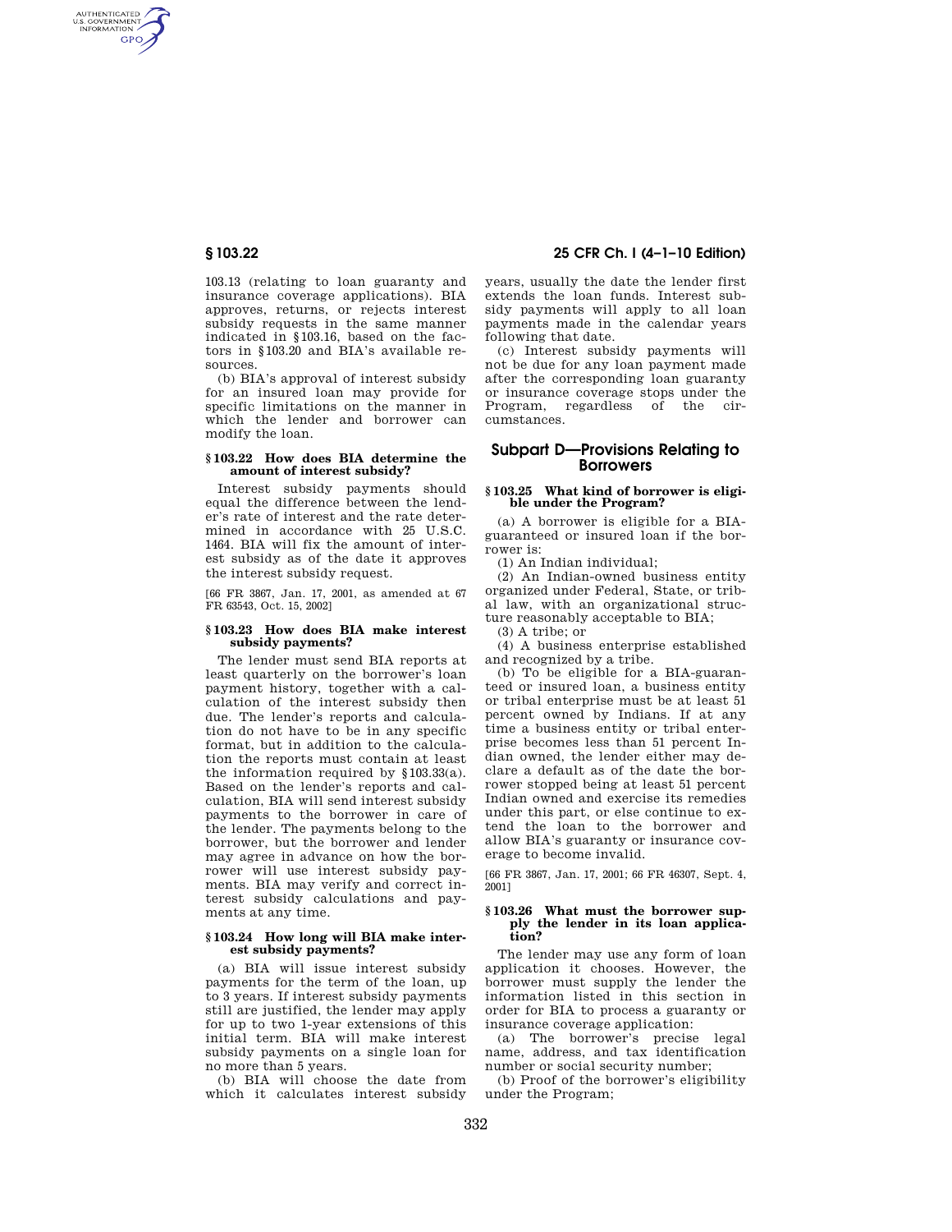AUTHENTICATED<br>U.S. GOVERNMENT<br>INFORMATION **GPO** 

> 103.13 (relating to loan guaranty and insurance coverage applications). BIA approves, returns, or rejects interest subsidy requests in the same manner indicated in §103.16, based on the factors in §103.20 and BIA's available resources.

> (b) BIA's approval of interest subsidy for an insured loan may provide for specific limitations on the manner in which the lender and borrower can modify the loan.

#### **§ 103.22 How does BIA determine the amount of interest subsidy?**

Interest subsidy payments should equal the difference between the lender's rate of interest and the rate determined in accordance with 25 U.S.C. 1464. BIA will fix the amount of interest subsidy as of the date it approves the interest subsidy request.

[66 FR 3867, Jan. 17, 2001, as amended at 67 FR 63543, Oct. 15, 2002]

# **§ 103.23 How does BIA make interest subsidy payments?**

The lender must send BIA reports at least quarterly on the borrower's loan payment history, together with a calculation of the interest subsidy then due. The lender's reports and calculation do not have to be in any specific format, but in addition to the calculation the reports must contain at least the information required by  $§103.33(a)$ . Based on the lender's reports and calculation, BIA will send interest subsidy payments to the borrower in care of the lender. The payments belong to the borrower, but the borrower and lender may agree in advance on how the borrower will use interest subsidy payments. BIA may verify and correct interest subsidy calculations and payments at any time.

## **§ 103.24 How long will BIA make interest subsidy payments?**

(a) BIA will issue interest subsidy payments for the term of the loan, up to 3 years. If interest subsidy payments still are justified, the lender may apply for up to two 1-year extensions of this initial term. BIA will make interest subsidy payments on a single loan for no more than 5 years.

(b) BIA will choose the date from which it calculates interest subsidy

**§ 103.22 25 CFR Ch. I (4–1–10 Edition)** 

years, usually the date the lender first extends the loan funds. Interest subsidy payments will apply to all loan payments made in the calendar years following that date.

(c) Interest subsidy payments will not be due for any loan payment made after the corresponding loan guaranty or insurance coverage stops under the Program, regardless of the circumstances.

# **Subpart D—Provisions Relating to Borrowers**

### **§ 103.25 What kind of borrower is eligible under the Program?**

(a) A borrower is eligible for a BIAguaranteed or insured loan if the borrower is:

(1) An Indian individual;

(2) An Indian-owned business entity organized under Federal, State, or tribal law, with an organizational structure reasonably acceptable to BIA;

(3) A tribe; or

(4) A business enterprise established and recognized by a tribe.

(b) To be eligible for a BIA-guaranteed or insured loan, a business entity or tribal enterprise must be at least 51 percent owned by Indians. If at any time a business entity or tribal enterprise becomes less than 51 percent Indian owned, the lender either may declare a default as of the date the borrower stopped being at least 51 percent Indian owned and exercise its remedies under this part, or else continue to extend the loan to the borrower and allow BIA's guaranty or insurance coverage to become invalid.

[66 FR 3867, Jan. 17, 2001; 66 FR 46307, Sept. 4, 2001]

#### **§ 103.26 What must the borrower supply the lender in its loan application?**

The lender may use any form of loan application it chooses. However, the borrower must supply the lender the information listed in this section in order for BIA to process a guaranty or insurance coverage application:

(a) The borrower's precise legal name, address, and tax identification number or social security number;

(b) Proof of the borrower's eligibility under the Program;